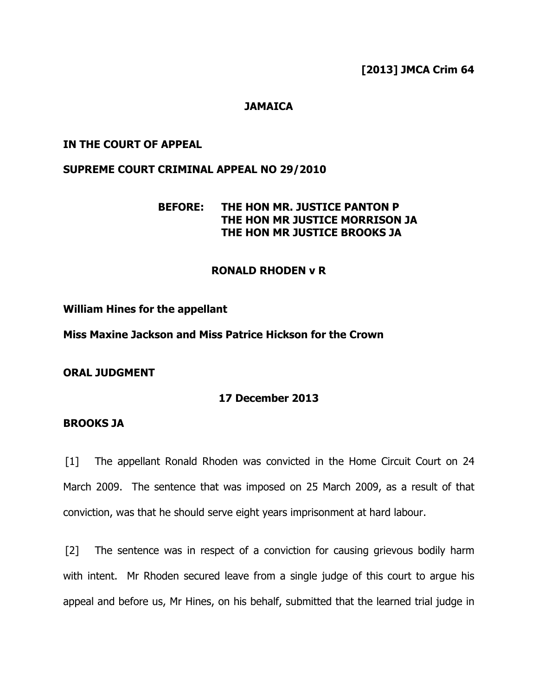## **JAMAICA**

#### IN THE COURT OF APPEAL

### SUPREME COURT CRIMINAL APPEAL NO 29/2010

# BEFORE: THE HON MR. JUSTICE PANTON P THE HON MR JUSTICE MORRISON JA THE HON MR JUSTICE BROOKS JA

### RONALD RHODEN v R

#### William Hines for the appellant

Miss Maxine Jackson and Miss Patrice Hickson for the Crown

ORAL JUDGMENT

### 17 December 2013

#### BROOKS JA

[1] The appellant Ronald Rhoden was convicted in the Home Circuit Court on 24 March 2009. The sentence that was imposed on 25 March 2009, as a result of that conviction, was that he should serve eight years imprisonment at hard labour.

[2] The sentence was in respect of a conviction for causing grievous bodily harm with intent. Mr Rhoden secured leave from a single judge of this court to argue his appeal and before us, Mr Hines, on his behalf, submitted that the learned trial judge in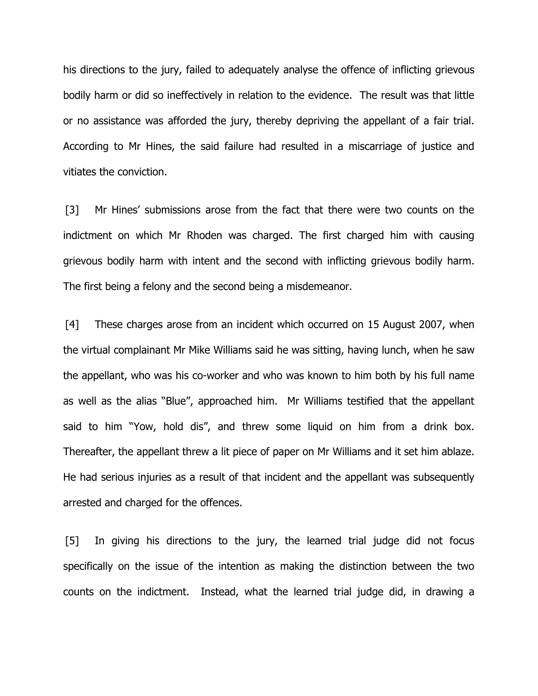his directions to the jury, failed to adequately analyse the offence of inflicting grievous bodily harm or did so ineffectively in relation to the evidence. The result was that little or no assistance was afforded the jury, thereby depriving the appellant of a fair trial. According to Mr Hines, the said failure had resulted in a miscarriage of justice and vitiates the conviction.

[3] Mr Hines' submissions arose from the fact that there were two counts on the indictment on which Mr Rhoden was charged. The first charged him with causing grievous bodily harm with intent and the second with inflicting grievous bodily harm. The first being a felony and the second being a misdemeanor.

[4] These charges arose from an incident which occurred on 15 August 2007, when the virtual complainant Mr Mike Williams said he was sitting, having lunch, when he saw the appellant, who was his co-worker and who was known to him both by his full name as well as the alias "Blue", approached him. Mr Williams testified that the appellant said to him "Yow, hold dis", and threw some liquid on him from a drink box. Thereafter, the appellant threw a lit piece of paper on Mr Williams and it set him ablaze. He had serious injuries as a result of that incident and the appellant was subsequently arrested and charged for the offences.

[5] In giving his directions to the jury, the learned trial judge did not focus specifically on the issue of the intention as making the distinction between the two counts on the indictment. Instead, what the learned trial judge did, in drawing a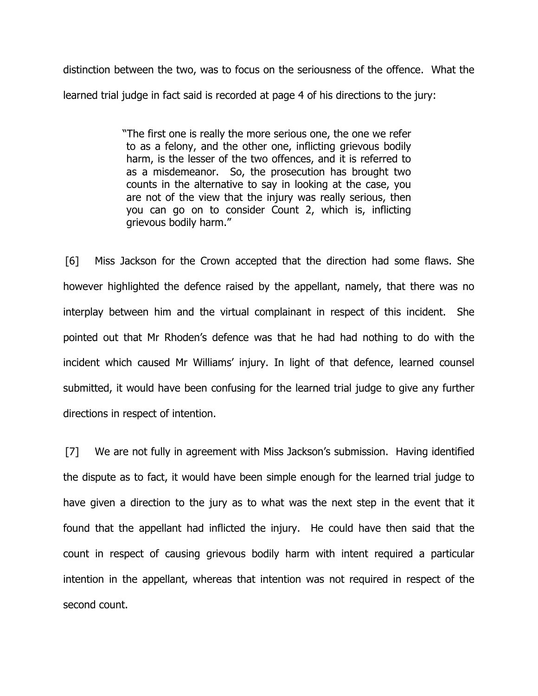distinction between the two, was to focus on the seriousness of the offence. What the learned trial judge in fact said is recorded at page 4 of his directions to the jury:

> "The first one is really the more serious one, the one we refer to as a felony, and the other one, inflicting grievous bodily harm, is the lesser of the two offences, and it is referred to as a misdemeanor. So, the prosecution has brought two counts in the alternative to say in looking at the case, you are not of the view that the injury was really serious, then you can go on to consider Count 2, which is, inflicting grievous bodily harm."

[6] Miss Jackson for the Crown accepted that the direction had some flaws. She however highlighted the defence raised by the appellant, namely, that there was no interplay between him and the virtual complainant in respect of this incident. She pointed out that Mr Rhoden's defence was that he had had nothing to do with the incident which caused Mr Williams' injury. In light of that defence, learned counsel submitted, it would have been confusing for the learned trial judge to give any further directions in respect of intention.

[7] We are not fully in agreement with Miss Jackson's submission. Having identified the dispute as to fact, it would have been simple enough for the learned trial judge to have given a direction to the jury as to what was the next step in the event that it found that the appellant had inflicted the injury. He could have then said that the count in respect of causing grievous bodily harm with intent required a particular intention in the appellant, whereas that intention was not required in respect of the second count.